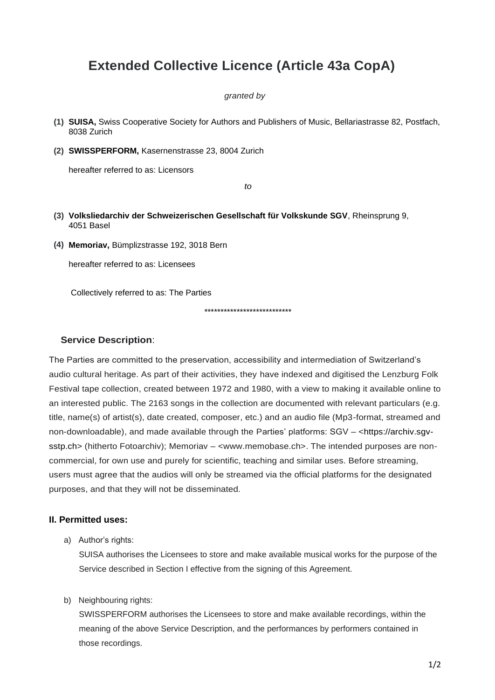# **Extended Collective Licence (Article 43a CopA)**

#### *granted by*

- **(1) SUISA,** Swiss Cooperative Society for Authors and Publishers of Music, Bellariastrasse 82, Postfach, 8038 Zurich
- **(2) SWISSPERFORM,** Kasernenstrasse 23, 8004 Zurich

hereafter referred to as: Licensors

*to*

- **(3) Volksliedarchiv der Schweizerischen Gesellschaft für Volkskunde SGV**, Rheinsprung 9, 4051 Basel
- **(4) Memoriav,** Bümplizstrasse 192, 3018 Bern

hereafter referred to as: Licensees

Collectively referred to as: The Parties

\*\*\*\*\*\*\*\*\*\*\*\*\*\*\*\*\*\*\*\*\*\*\*\*\*\*\*

## **Service Description**:

The Parties are committed to the preservation, accessibility and intermediation of Switzerland's audio cultural heritage. As part of their activities, they have indexed and digitised the Lenzburg Folk Festival tape collection, created between 1972 and 1980, with a view to making it available online to an interested public. The 2163 songs in the collection are documented with relevant particulars (e.g. title, name(s) of artist(s), date created, composer, etc.) and an audio file (Mp3-format, streamed and non-downloadable), and made available through the Parties' platforms: SGV – [<https://archiv.sgv](https://archiv.sgv-sstp.ch/)[sstp.ch>](https://archiv.sgv-sstp.ch/) (hitherto Fotoarchiv); Memoriav – <www.memobase.ch>. The intended purposes are noncommercial, for own use and purely for scientific, teaching and similar uses. Before streaming, users must agree that the audios will only be streamed via the official platforms for the designated purposes, and that they will not be disseminated.

## **II. Permitted uses:**

a) Author's rights:

SUISA authorises the Licensees to store and make available musical works for the purpose of the Service described in Section I effective from the signing of this Agreement.

#### b) Neighbouring rights:

SWISSPERFORM authorises the Licensees to store and make available recordings, within the meaning of the above Service Description, and the performances by performers contained in those recordings.